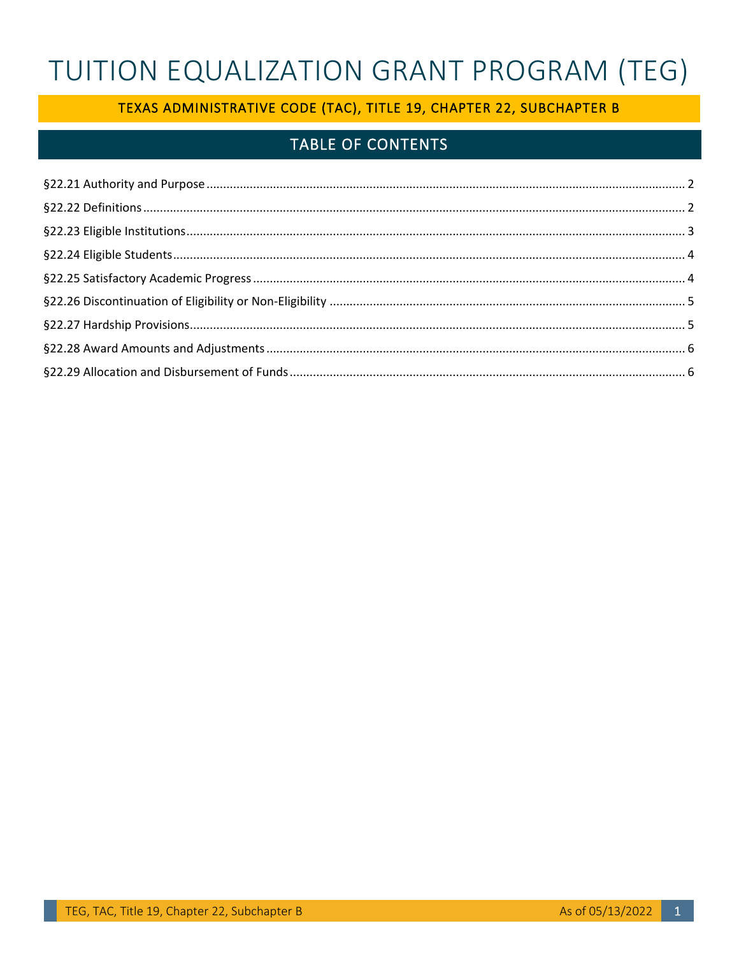# TUITION EQUALIZATION GRANT PROGRAM (TEG)

# TEXAS ADMINISTRATIVE CODE (TAC), TITLE 19, CHAPTER 22, SUBCHAPTER B

# **TABLE OF CONTENTS**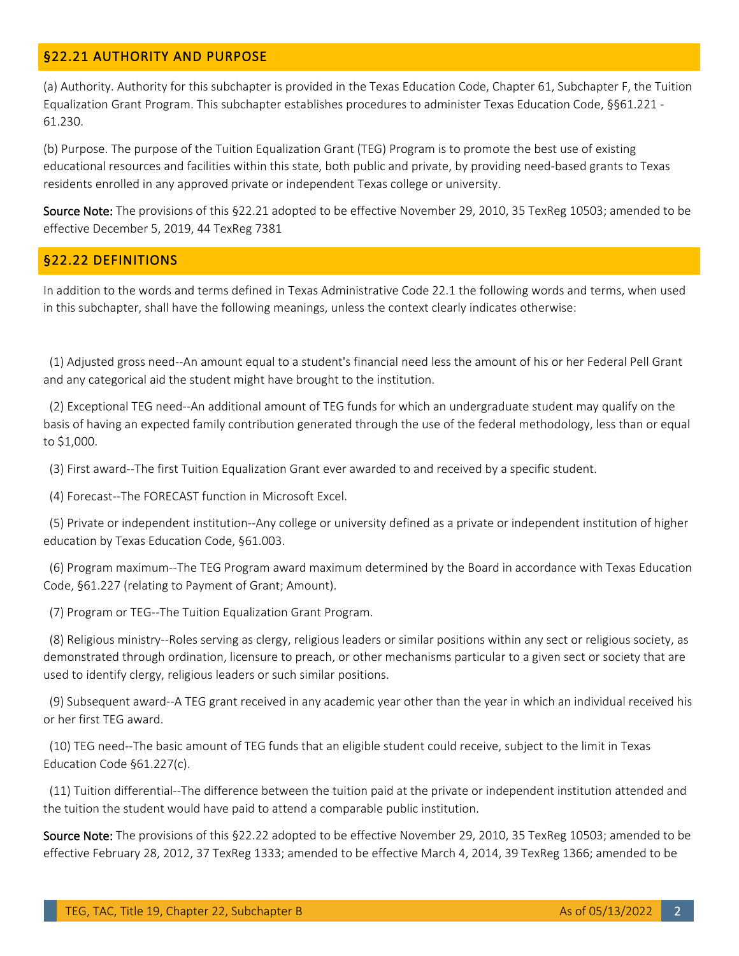#### <span id="page-1-0"></span>§22.21 AUTHORITY AND PURPOSE

(a) Authority. Authority for this subchapter is provided in the Texas Education Code, Chapter 61, Subchapter F, the Tuition Equalization Grant Program. This subchapter establishes procedures to administer Texas Education Code, §§61.221 - 61.230.

(b) Purpose. The purpose of the Tuition Equalization Grant (TEG) Program is to promote the best use of existing educational resources and facilities within this state, both public and private, by providing need-based grants to Texas residents enrolled in any approved private or independent Texas college or university.

Source Note: The provisions of this §22.21 adopted to be effective November 29, 2010, 35 TexReg 10503; amended to be effective December 5, 2019, 44 TexReg 7381

#### <span id="page-1-1"></span>§22.22 DEFINITIONS

In addition to the words and terms defined in Texas Administrative Code 22.1 the following words and terms, when used in this subchapter, shall have the following meanings, unless the context clearly indicates otherwise:

(1) Adjusted gross need--An amount equal to a student's financial need less the amount of his or her Federal Pell Grant and any categorical aid the student might have brought to the institution.

(2) Exceptional TEG need--An additional amount of TEG funds for which an undergraduate student may qualify on the basis of having an expected family contribution generated through the use of the federal methodology, less than or equal to \$1,000.

(3) First award--The first Tuition Equalization Grant ever awarded to and received by a specific student.

(4) Forecast--The FORECAST function in Microsoft Excel.

(5) Private or independent institution--Any college or university defined as a private or independent institution of higher education by Texas Education Code, §61.003.

(6) Program maximum--The TEG Program award maximum determined by the Board in accordance with Texas Education Code, §61.227 (relating to Payment of Grant; Amount).

(7) Program or TEG--The Tuition Equalization Grant Program.

(8) Religious ministry--Roles serving as clergy, religious leaders or similar positions within any sect or religious society, as demonstrated through ordination, licensure to preach, or other mechanisms particular to a given sect or society that are used to identify clergy, religious leaders or such similar positions.

 (9) Subsequent award--A TEG grant received in any academic year other than the year in which an individual received his or her first TEG award.

(10) TEG need--The basic amount of TEG funds that an eligible student could receive, subject to the limit in Texas Education Code §61.227(c).

(11) Tuition differential--The difference between the tuition paid at the private or independent institution attended and the tuition the student would have paid to attend a comparable public institution.

Source Note: The provisions of this §22.22 adopted to be effective November 29, 2010, 35 TexReg 10503; amended to be effective February 28, 2012, 37 TexReg 1333; amended to be effective March 4, 2014, 39 TexReg 1366; amended to be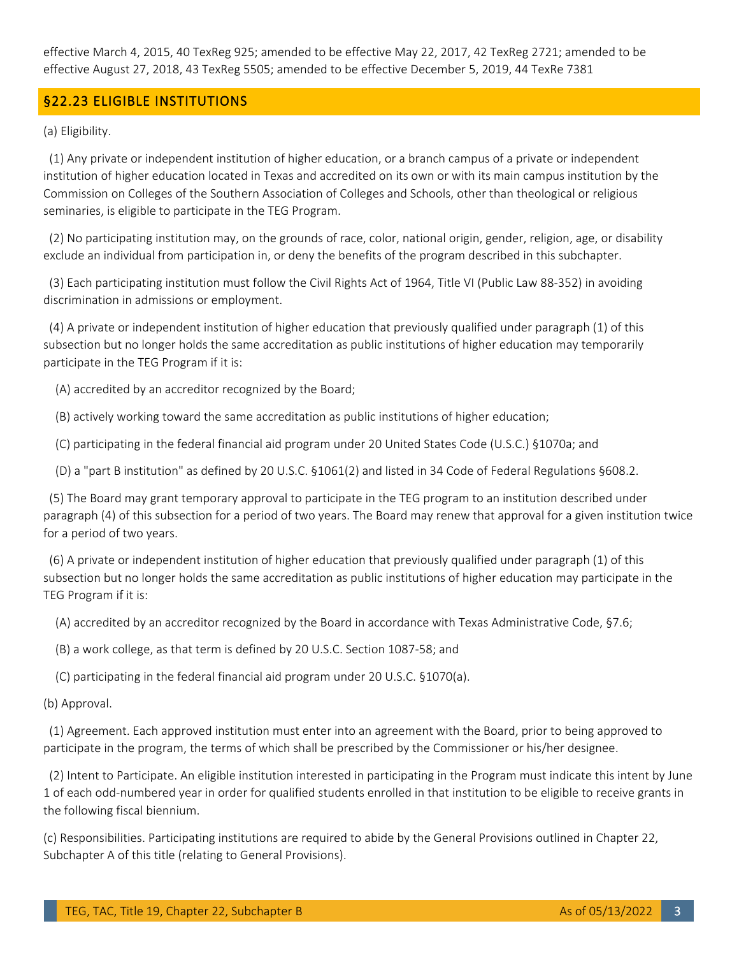effective March 4, 2015, 40 TexReg 925; amended to be effective May 22, 2017, 42 TexReg 2721; amended to be effective August 27, 2018, 43 TexReg 5505; amended to be effective December 5, 2019, 44 TexRe 7381

#### <span id="page-2-0"></span>§22.23 ELIGIBLE INSTITUTIONS

(a) Eligibility.

(1) Any private or independent institution of higher education, or a branch campus of a private or independent institution of higher education located in Texas and accredited on its own or with its main campus institution by the Commission on Colleges of the Southern Association of Colleges and Schools, other than theological or religious seminaries, is eligible to participate in the TEG Program.

(2) No participating institution may, on the grounds of race, color, national origin, gender, religion, age, or disability exclude an individual from participation in, or deny the benefits of the program described in this subchapter.

 (3) Each participating institution must follow the Civil Rights Act of 1964, Title VI (Public Law 88-352) in avoiding discrimination in admissions or employment.

(4) A private or independent institution of higher education that previously qualified under paragraph (1) of this subsection but no longer holds the same accreditation as public institutions of higher education may temporarily participate in the TEG Program if it is:

(A) accredited by an accreditor recognized by the Board;

(B) actively working toward the same accreditation as public institutions of higher education;

(C) participating in the federal financial aid program under 20 United States Code (U.S.C.) §1070a; and

(D) a "part B institution" as defined by 20 U.S.C. §1061(2) and listed in 34 Code of Federal Regulations §608.2.

 (5) The Board may grant temporary approval to participate in the TEG program to an institution described under paragraph (4) of this subsection for a period of two years. The Board may renew that approval for a given institution twice for a period of two years.

(6) A private or independent institution of higher education that previously qualified under paragraph (1) of this subsection but no longer holds the same accreditation as public institutions of higher education may participate in the TEG Program if it is:

(A) accredited by an accreditor recognized by the Board in accordance with Texas Administrative Code, §7.6;

(B) a work college, as that term is defined by 20 U.S.C. Section 1087-58; and

(C) participating in the federal financial aid program under 20 U.S.C. §1070(a).

(b) Approval.

 (1) Agreement. Each approved institution must enter into an agreement with the Board, prior to being approved to participate in the program, the terms of which shall be prescribed by the Commissioner or his/her designee.

(2) Intent to Participate. An eligible institution interested in participating in the Program must indicate this intent by June 1 of each odd-numbered year in order for qualified students enrolled in that institution to be eligible to receive grants in the following fiscal biennium.

(c) Responsibilities. Participating institutions are required to abide by the General Provisions outlined in Chapter 22, Subchapter A of this title (relating to General Provisions).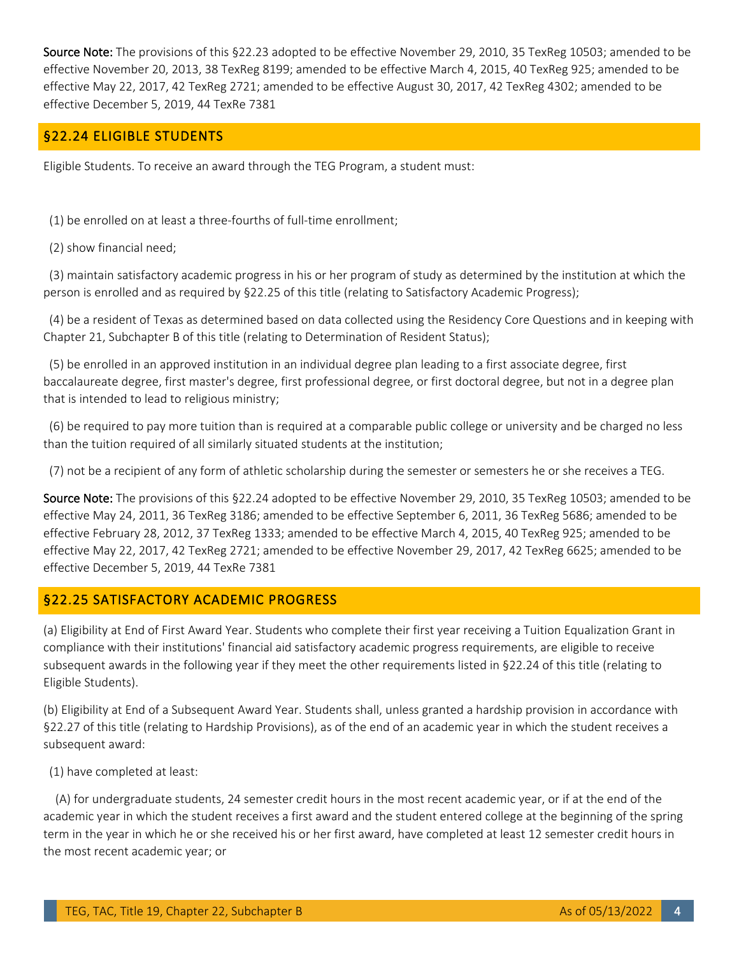Source Note: The provisions of this §22.23 adopted to be effective November 29, 2010, 35 TexReg 10503; amended to be effective November 20, 2013, 38 TexReg 8199; amended to be effective March 4, 2015, 40 TexReg 925; amended to be effective May 22, 2017, 42 TexReg 2721; amended to be effective August 30, 2017, 42 TexReg 4302; amended to be effective December 5, 2019, 44 TexRe 7381

## <span id="page-3-0"></span>§22.24 ELIGIBLE STUDENTS

Eligible Students. To receive an award through the TEG Program, a student must:

(1) be enrolled on at least a three-fourths of full-time enrollment;

(2) show financial need;

 (3) maintain satisfactory academic progress in his or her program of study as determined by the institution at which the person is enrolled and as required by §22.25 of this title (relating to Satisfactory Academic Progress);

(4) be a resident of Texas as determined based on data collected using the Residency Core Questions and in keeping with Chapter 21, Subchapter B of this title (relating to Determination of Resident Status);

(5) be enrolled in an approved institution in an individual degree plan leading to a first associate degree, first baccalaureate degree, first master's degree, first professional degree, or first doctoral degree, but not in a degree plan that is intended to lead to religious ministry;

(6) be required to pay more tuition than is required at a comparable public college or university and be charged no less than the tuition required of all similarly situated students at the institution;

(7) not be a recipient of any form of athletic scholarship during the semester or semesters he or she receives a TEG.

Source Note: The provisions of this §22.24 adopted to be effective November 29, 2010, 35 TexReg 10503; amended to be effective May 24, 2011, 36 TexReg 3186; amended to be effective September 6, 2011, 36 TexReg 5686; amended to be effective February 28, 2012, 37 TexReg 1333; amended to be effective March 4, 2015, 40 TexReg 925; amended to be effective May 22, 2017, 42 TexReg 2721; amended to be effective November 29, 2017, 42 TexReg 6625; amended to be effective December 5, 2019, 44 TexRe 7381

#### <span id="page-3-1"></span>§22.25 SATISFACTORY ACADEMIC PROGRESS

(a) Eligibility at End of First Award Year. Students who complete their first year receiving a Tuition Equalization Grant in compliance with their institutions' financial aid satisfactory academic progress requirements, are eligible to receive subsequent awards in the following year if they meet the other requirements listed in §22.24 of this title (relating to Eligible Students).

(b) Eligibility at End of a Subsequent Award Year. Students shall, unless granted a hardship provision in accordance with §22.27 of this title (relating to Hardship Provisions), as of the end of an academic year in which the student receives a subsequent award:

(1) have completed at least:

 (A) for undergraduate students, 24 semester credit hours in the most recent academic year, or if at the end of the academic year in which the student receives a first award and the student entered college at the beginning of the spring term in the year in which he or she received his or her first award, have completed at least 12 semester credit hours in the most recent academic year; or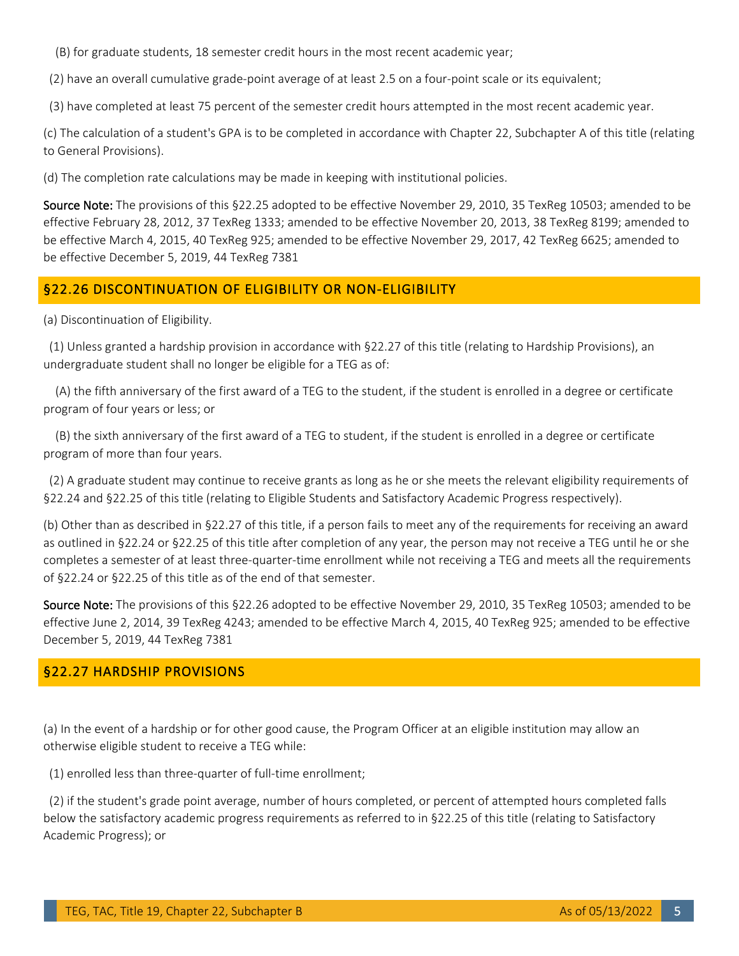(B) for graduate students, 18 semester credit hours in the most recent academic year;

(2) have an overall cumulative grade-point average of at least 2.5 on a four-point scale or its equivalent;

(3) have completed at least 75 percent of the semester credit hours attempted in the most recent academic year.

(c) The calculation of a student's GPA is to be completed in accordance with Chapter 22, Subchapter A of this title (relating to General Provisions).

(d) The completion rate calculations may be made in keeping with institutional policies.

Source Note: The provisions of this §22.25 adopted to be effective November 29, 2010, 35 TexReg 10503; amended to be effective February 28, 2012, 37 TexReg 1333; amended to be effective November 20, 2013, 38 TexReg 8199; amended to be effective March 4, 2015, 40 TexReg 925; amended to be effective November 29, 2017, 42 TexReg 6625; amended to be effective December 5, 2019, 44 TexReg 7381

#### <span id="page-4-0"></span>§22.26 DISCONTINUATION OF ELIGIBILITY OR NON-ELIGIBILITY

(a) Discontinuation of Eligibility.

 (1) Unless granted a hardship provision in accordance with §22.27 of this title (relating to Hardship Provisions), an undergraduate student shall no longer be eligible for a TEG as of:

(A) the fifth anniversary of the first award of a TEG to the student, if the student is enrolled in a degree or certificate program of four years or less; or

(B) the sixth anniversary of the first award of a TEG to student, if the student is enrolled in a degree or certificate program of more than four years.

(2) A graduate student may continue to receive grants as long as he or she meets the relevant eligibility requirements of §22.24 and §22.25 of this title (relating to Eligible Students and Satisfactory Academic Progress respectively).

(b) Other than as described in §22.27 of this title, if a person fails to meet any of the requirements for receiving an award as outlined in §22.24 or §22.25 of this title after completion of any year, the person may not receive a TEG until he or she completes a semester of at least three-quarter-time enrollment while not receiving a TEG and meets all the requirements of §22.24 or §22.25 of this title as of the end of that semester.

Source Note: The provisions of this §22.26 adopted to be effective November 29, 2010, 35 TexReg 10503; amended to be effective June 2, 2014, 39 TexReg 4243; amended to be effective March 4, 2015, 40 TexReg 925; amended to be effective December 5, 2019, 44 TexReg 7381

#### <span id="page-4-1"></span>§22.27 HARDSHIP PROVISIONS

(a) In the event of a hardship or for other good cause, the Program Officer at an eligible institution may allow an otherwise eligible student to receive a TEG while:

(1) enrolled less than three-quarter of full-time enrollment;

(2) if the student's grade point average, number of hours completed, or percent of attempted hours completed falls below the satisfactory academic progress requirements as referred to in §22.25 of this title (relating to Satisfactory Academic Progress); or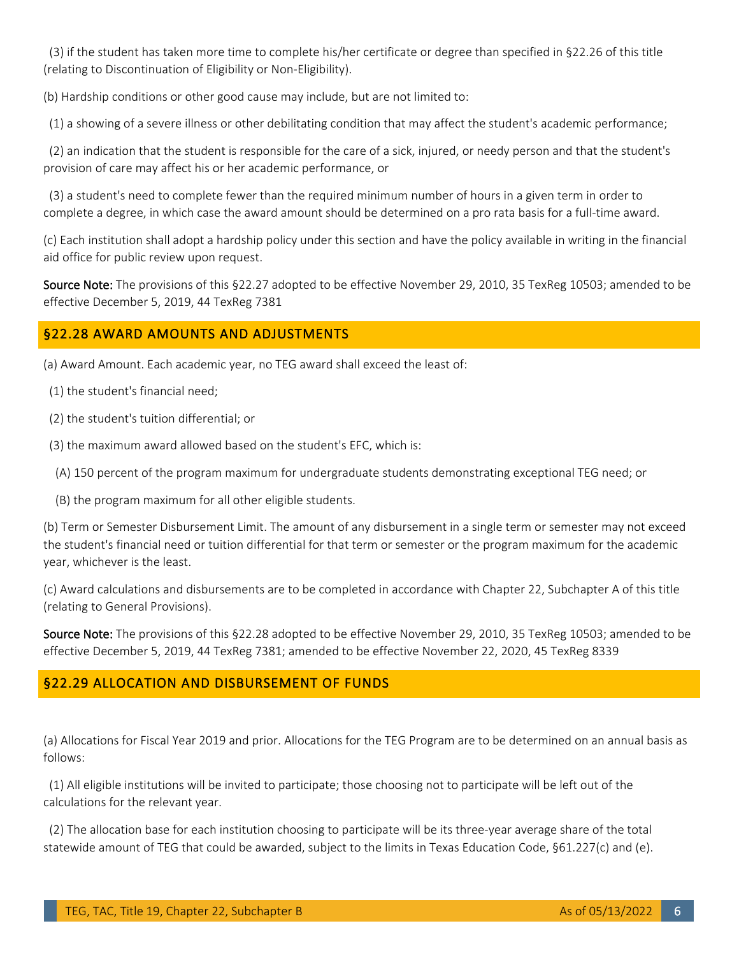(3) if the student has taken more time to complete his/her certificate or degree than specified in §22.26 of this title (relating to Discontinuation of Eligibility or Non-Eligibility).

(b) Hardship conditions or other good cause may include, but are not limited to:

(1) a showing of a severe illness or other debilitating condition that may affect the student's academic performance;

 (2) an indication that the student is responsible for the care of a sick, injured, or needy person and that the student's provision of care may affect his or her academic performance, or

(3) a student's need to complete fewer than the required minimum number of hours in a given term in order to complete a degree, in which case the award amount should be determined on a pro rata basis for a full-time award.

(c) Each institution shall adopt a hardship policy under this section and have the policy available in writing in the financial aid office for public review upon request.

Source Note: The provisions of this §22.27 adopted to be effective November 29, 2010, 35 TexReg 10503; amended to be effective December 5, 2019, 44 TexReg 7381

## <span id="page-5-0"></span>§22.28 AWARD AMOUNTS AND ADJUSTMENTS

(a) Award Amount. Each academic year, no TEG award shall exceed the least of:

(1) the student's financial need;

(2) the student's tuition differential; or

(3) the maximum award allowed based on the student's EFC, which is:

(A) 150 percent of the program maximum for undergraduate students demonstrating exceptional TEG need; or

(B) the program maximum for all other eligible students.

(b) Term or Semester Disbursement Limit. The amount of any disbursement in a single term or semester may not exceed the student's financial need or tuition differential for that term or semester or the program maximum for the academic year, whichever is the least.

(c) Award calculations and disbursements are to be completed in accordance with Chapter 22, Subchapter A of this title (relating to General Provisions).

Source Note: The provisions of this §22.28 adopted to be effective November 29, 2010, 35 TexReg 10503; amended to be effective December 5, 2019, 44 TexReg 7381; amended to be effective November 22, 2020, 45 TexReg 8339

## <span id="page-5-1"></span>§22.29 ALLOCATION AND DISBURSEMENT OF FUNDS

(a) Allocations for Fiscal Year 2019 and prior. Allocations for the TEG Program are to be determined on an annual basis as follows:

(1) All eligible institutions will be invited to participate; those choosing not to participate will be left out of the calculations for the relevant year.

(2) The allocation base for each institution choosing to participate will be its three-year average share of the total statewide amount of TEG that could be awarded, subject to the limits in Texas Education Code, §61.227(c) and (e).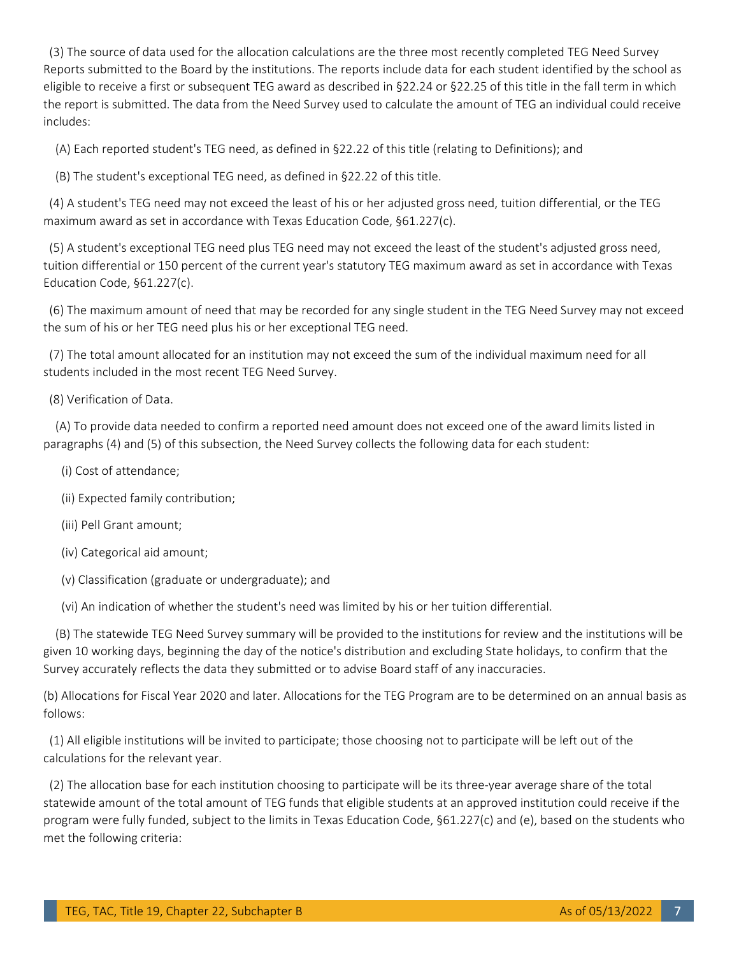(3) The source of data used for the allocation calculations are the three most recently completed TEG Need Survey Reports submitted to the Board by the institutions. The reports include data for each student identified by the school as eligible to receive a first or subsequent TEG award as described in §22.24 or §22.25 of this title in the fall term in which the report is submitted. The data from the Need Survey used to calculate the amount of TEG an individual could receive includes:

(A) Each reported student's TEG need, as defined in §22.22 of this title (relating to Definitions); and

(B) The student's exceptional TEG need, as defined in §22.22 of this title.

(4) A student's TEG need may not exceed the least of his or her adjusted gross need, tuition differential, or the TEG maximum award as set in accordance with Texas Education Code, §61.227(c).

(5) A student's exceptional TEG need plus TEG need may not exceed the least of the student's adjusted gross need, tuition differential or 150 percent of the current year's statutory TEG maximum award as set in accordance with Texas Education Code, §61.227(c).

(6) The maximum amount of need that may be recorded for any single student in the TEG Need Survey may not exceed the sum of his or her TEG need plus his or her exceptional TEG need.

(7) The total amount allocated for an institution may not exceed the sum of the individual maximum need for all students included in the most recent TEG Need Survey.

(8) Verification of Data.

(A) To provide data needed to confirm a reported need amount does not exceed one of the award limits listed in paragraphs (4) and (5) of this subsection, the Need Survey collects the following data for each student:

- (i) Cost of attendance;
- (ii) Expected family contribution;
- (iii) Pell Grant amount;
- (iv) Categorical aid amount;
- (v) Classification (graduate or undergraduate); and

(vi) An indication of whether the student's need was limited by his or her tuition differential.

(B) The statewide TEG Need Survey summary will be provided to the institutions for review and the institutions will be given 10 working days, beginning the day of the notice's distribution and excluding State holidays, to confirm that the Survey accurately reflects the data they submitted or to advise Board staff of any inaccuracies.

(b) Allocations for Fiscal Year 2020 and later. Allocations for the TEG Program are to be determined on an annual basis as follows:

(1) All eligible institutions will be invited to participate; those choosing not to participate will be left out of the calculations for the relevant year.

(2) The allocation base for each institution choosing to participate will be its three-year average share of the total statewide amount of the total amount of TEG funds that eligible students at an approved institution could receive if the program were fully funded, subject to the limits in Texas Education Code, §61.227(c) and (e), based on the students who met the following criteria: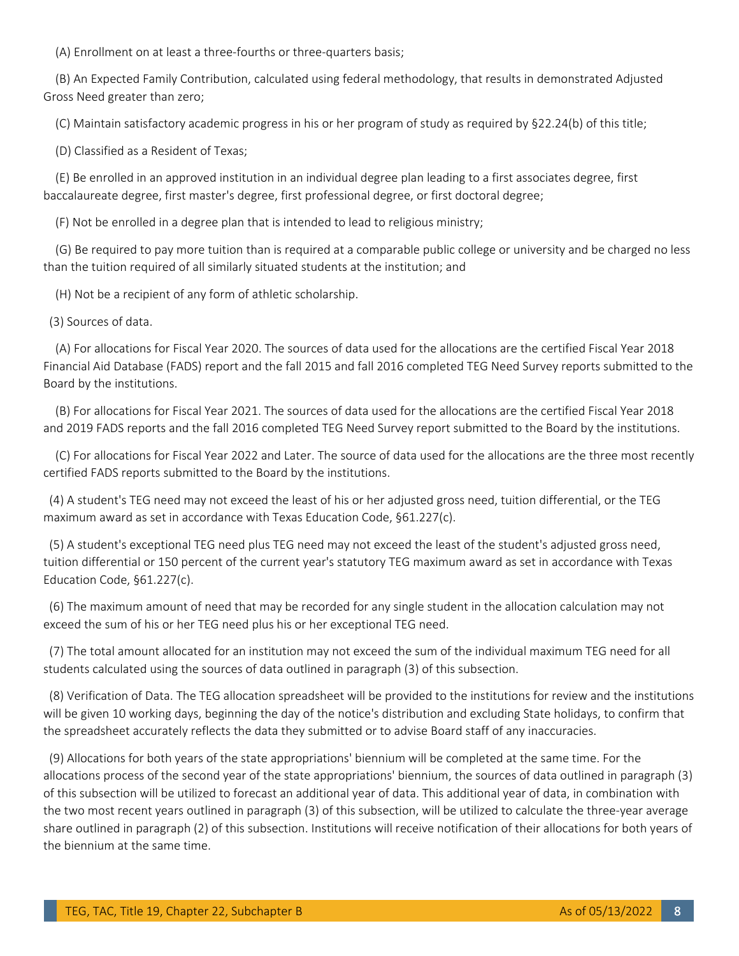(A) Enrollment on at least a three-fourths or three-quarters basis;

(B) An Expected Family Contribution, calculated using federal methodology, that results in demonstrated Adjusted Gross Need greater than zero;

(C) Maintain satisfactory academic progress in his or her program of study as required by §22.24(b) of this title;

(D) Classified as a Resident of Texas;

(E) Be enrolled in an approved institution in an individual degree plan leading to a first associates degree, first baccalaureate degree, first master's degree, first professional degree, or first doctoral degree;

(F) Not be enrolled in a degree plan that is intended to lead to religious ministry;

(G) Be required to pay more tuition than is required at a comparable public college or university and be charged no less than the tuition required of all similarly situated students at the institution; and

(H) Not be a recipient of any form of athletic scholarship.

(3) Sources of data.

(A) For allocations for Fiscal Year 2020. The sources of data used for the allocations are the certified Fiscal Year 2018 Financial Aid Database (FADS) report and the fall 2015 and fall 2016 completed TEG Need Survey reports submitted to the Board by the institutions.

(B) For allocations for Fiscal Year 2021. The sources of data used for the allocations are the certified Fiscal Year 2018 and 2019 FADS reports and the fall 2016 completed TEG Need Survey report submitted to the Board by the institutions.

(C) For allocations for Fiscal Year 2022 and Later. The source of data used for the allocations are the three most recently certified FADS reports submitted to the Board by the institutions.

(4) A student's TEG need may not exceed the least of his or her adjusted gross need, tuition differential, or the TEG maximum award as set in accordance with Texas Education Code, §61.227(c).

(5) A student's exceptional TEG need plus TEG need may not exceed the least of the student's adjusted gross need, tuition differential or 150 percent of the current year's statutory TEG maximum award as set in accordance with Texas Education Code, §61.227(c).

(6) The maximum amount of need that may be recorded for any single student in the allocation calculation may not exceed the sum of his or her TEG need plus his or her exceptional TEG need.

(7) The total amount allocated for an institution may not exceed the sum of the individual maximum TEG need for all students calculated using the sources of data outlined in paragraph (3) of this subsection.

(8) Verification of Data. The TEG allocation spreadsheet will be provided to the institutions for review and the institutions will be given 10 working days, beginning the day of the notice's distribution and excluding State holidays, to confirm that the spreadsheet accurately reflects the data they submitted or to advise Board staff of any inaccuracies.

(9) Allocations for both years of the state appropriations' biennium will be completed at the same time. For the allocations process of the second year of the state appropriations' biennium, the sources of data outlined in paragraph (3) of this subsection will be utilized to forecast an additional year of data. This additional year of data, in combination with the two most recent years outlined in paragraph (3) of this subsection, will be utilized to calculate the three-year average share outlined in paragraph (2) of this subsection. Institutions will receive notification of their allocations for both years of the biennium at the same time.